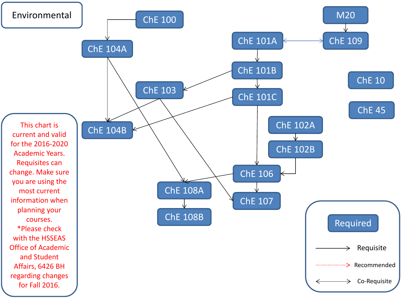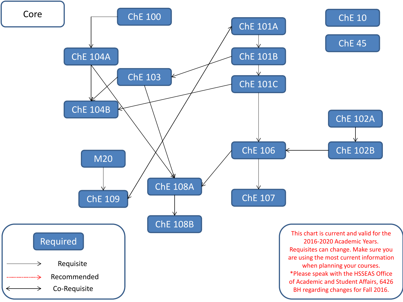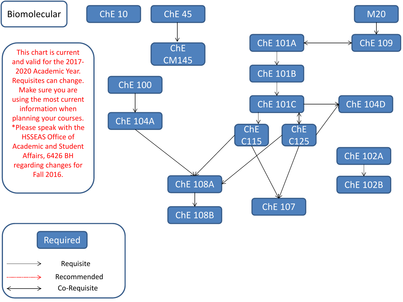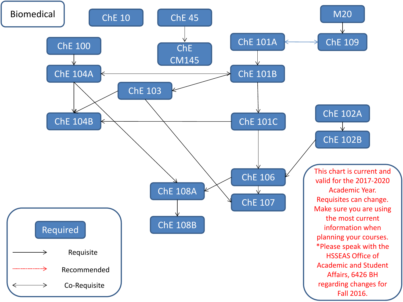